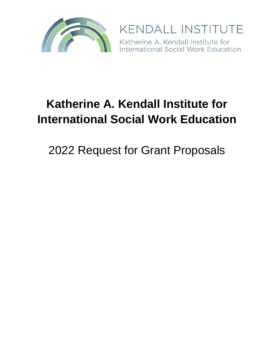

**KENDALL INSTITUTE** Katherine A. Kendall Institute for<br>International Social Work Education

# **Katherine A. Kendall Institute for International Social Work Education**

2022 Request for Grant Proposals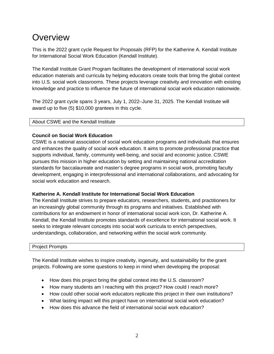### **Overview**

This is the 2022 grant cycle Request for Proposals (RFP) for the Katherine A. Kendall Institute for International Social Work Education (Kendall Institute).

The Kendall Institute Grant Program facilitates the development of international social work education materials and curricula by helping educators create tools that bring the global context into U.S. social work classrooms. These projects leverage creativity and innovation with existing knowledge and practice to influence the future of international social work education nationwide.

The 2022 grant cycle spans 3 years, July 1, 2022–June 31, 2025. The Kendall Institute will award up to five (5) \$10,000 grantees in this cycle.

#### About CSWE and the Kendall Institute

#### **Council on Social Work Education**

CSWE is a national association of social work education programs and individuals that ensures and enhances the quality of social work education. It aims to promote professional practice that supports individual, family, community well-being, and social and economic justice. CSWE pursues this mission in higher education by setting and maintaining national accreditation standards for baccalaureate and master's degree programs in social work, promoting faculty development, engaging in interprofessional and international collaborations, and advocating for social work education and research.

#### **Katherine A. Kendall Institute for International Social Work Education**

The Kendall Institute strives to prepare educators, researchers, students, and practitioners for an increasingly global community through its programs and initiatives. Established with contributions for an endowment in honor of international social work icon, Dr. Katherine A. Kendall, the Kendall Institute promotes standards of excellence for international social work. It seeks to integrate relevant concepts into social work curricula to enrich perspectives, understandings, collaboration, and networking within the social work community.

#### Project Prompts

The Kendall Institute wishes to inspire creativity, ingenuity, and sustainability for the grant projects. Following are some questions to keep in mind when developing the proposal:

- How does this project bring the global context into the U.S. classroom?
- How many students am I reaching with this project? How could I reach more?
- How could other social work educators replicate this project in their own institutions?
- What lasting impact will this project have on international social work education?
- How does this advance the field of international social work education?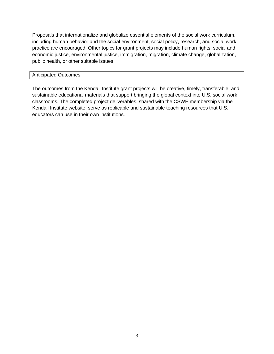Proposals that internationalize and globalize essential elements of the social work curriculum, including human behavior and the social environment, social policy, research, and social work practice are encouraged. Other topics for grant projects may include human rights, social and economic justice, environmental justice, immigration, migration, climate change, globalization, public health, or other suitable issues.

#### Anticipated Outcomes

The outcomes from the Kendall Institute grant projects will be creative, timely, transferable, and sustainable educational materials that support bringing the global context into U.S. social work classrooms. The completed project deliverables, shared with the CSWE membership via the Kendall Institute website, serve as replicable and sustainable teaching resources that U.S. educators can use in their own institutions.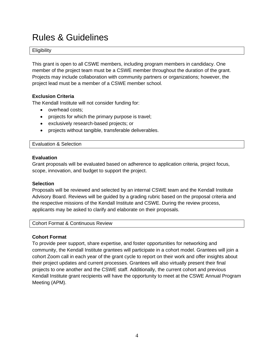### Rules & Guidelines

**Eligibility** 

This grant is open to all CSWE members, including program members in candidacy. One member of the project team must be a CSWE member throughout the duration of the grant. Projects may include collaboration with community partners or organizations; however, the project lead must be a member of a CSWE member school.

#### **Exclusion Criteria**

The Kendall Institute will not consider funding for:

- overhead costs;
- projects for which the primary purpose is travel;
- exclusively research-based projects; or
- projects without tangible, transferable deliverables.

Evaluation & Selection

#### **Evaluation**

Grant proposals will be evaluated based on adherence to application criteria, project focus, scope, innovation, and budget to support the project.

#### **Selection**

Proposals will be reviewed and selected by an internal CSWE team and the Kendall Institute Advisory Board. Reviews will be guided by a grading rubric based on the proposal criteria and the respective missions of the Kendall Institute and CSWE. During the review process, applicants may be asked to clarify and elaborate on their proposals.

Cohort Format & Continuous Review

#### **Cohort Format**

To provide peer support, share expertise, and foster opportunities for networking and community, the Kendall Institute grantees will participate in a cohort model. Grantees will join a cohort Zoom call in each year of the grant cycle to report on their work and offer insights about their project updates and current processes. Grantees will also virtually present their final projects to one another and the CSWE staff. Additionally, the current cohort and previous Kendall Institute grant recipients will have the opportunity to meet at the CSWE Annual Program Meeting (APM).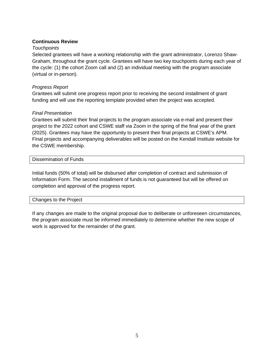#### **Continuous Review**

#### *Touchpoints*

Selected grantees will have a working relationship with the grant administrator, Lorenzo Shaw-Graham, throughout the grant cycle. Grantees will have two key touchpoints during each year of the cycle: (1) the cohort Zoom call and (2) an individual meeting with the program associate (virtual or in-person).

#### *Progress Report*

Grantees will submit one progress report prior to receiving the second installment of grant funding and will use the reporting template provided when the project was accepted.

#### *Final Presentation*

Grantees will submit their final projects to the program associate via e-mail and present their project to the 2022 cohort and CSWE staff via Zoom in the spring of the final year of the grant (2025). Grantees may have the opportunity to present their final projects at CSWE's APM. Final projects and accompanying deliverables will be posted on the Kendall Institute website for the CSWE membership.

Dissemination of Funds

Initial funds (50% of total) will be disbursed after completion of contract and submission of Information Form. The second installment of funds is not guaranteed but will be offered on completion and approval of the progress report.

#### Changes to the Project

If any changes are made to the original proposal due to deliberate or unforeseen circumstances, the program associate must be informed immediately to determine whether the new scope of work is approved for the remainder of the grant.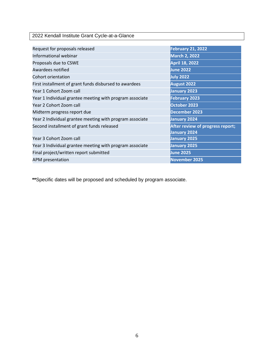2022 Kendall Institute Grant Cycle-at-a-Glance

| Request for proposals released                           | <b>February 21, 2022</b>                         |
|----------------------------------------------------------|--------------------------------------------------|
| Informational webinar                                    | <b>March 2, 2022</b>                             |
| Proposals due to CSWE                                    | April 18, 2022                                   |
| Awardees notified                                        | <b>June 2022</b>                                 |
| Cohort orientation                                       | <b>July 2022</b>                                 |
| First installment of grant funds disbursed to awardees   | August 2022                                      |
| Year 1 Cohort Zoom call                                  | January 2023                                     |
| Year 1 Individual grantee meeting with program associate | <b>February 2023</b>                             |
| Year 2 Cohort Zoom call                                  | October 2023                                     |
| Midterm progress report due                              | December 2023                                    |
| Year 2 Individual grantee meeting with program associate | January 2024                                     |
| Second installment of grant funds released               | After review of progress report;<br>January 2024 |
| Year 3 Cohort Zoom call                                  | <b>January 2025</b>                              |
| Year 3 Individual grantee meeting with program associate | January 2025                                     |
| Final project/written report submitted                   | <b>June 2025</b>                                 |
| <b>APM</b> presentation                                  | November 2025                                    |

**\*\***Specific dates will be proposed and scheduled by program associate.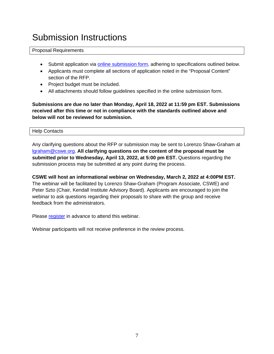### Submission Instructions

#### Proposal Requirements

- Submit application via [online submission form,](https://cswe.submittable.com/submit/218203/2022-katherine-a-kendall-institute-grant-application) adhering to specifications outlined below.
- Applicants must complete all sections of application noted in the "Proposal Content" section of the RFP.
- Project budget must be included.
- All attachments should follow guidelines specified in the online submission form.

**Submissions are due no later than Monday, April 18, 2022 at 11:59 pm EST. Submissions received after this time or not in compliance with the standards outlined above and below will not be reviewed for submission.**

#### Help Contacts

Any clarifying questions about the RFP or submission may be sent to Lorenzo Shaw-Graham at [lgraham@cswe.org.](mailto:lgraham@cswe.org) **All clarifying questions on the content of the proposal must be submitted prior to Wednesday, April 13, 2022, at 5:00 pm EST.** Questions regarding the submission process may be submitted at any point during the process.

**CSWE will host an informational webinar on Wednesday, March 2, 2022 at 4:00PM EST.** The webinar will be facilitated by Lorenzo Shaw-Graham (Program Associate, CSWE) and Peter Szto (Chair, Kendall Institute Advisory Board). Applicants are encouraged to join the webinar to ask questions regarding their proposals to share with the group and receive feedback from the administrators.

Please [register](https://cswe.zoom.us/webinar/register/WN_URo7gxWbSRaxqgEv9-6baQ) in advance to attend this webinar.

Webinar participants will not receive preference in the review process.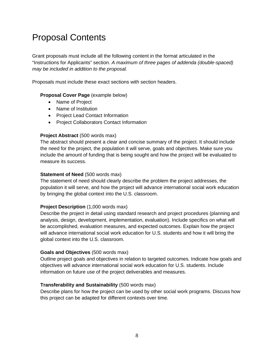## Proposal Contents

Grant proposals must include all the following content in the format articulated in the "Instructions for Applicants" section. *A maximum of three pages of addenda (double-spaced) may be included in addition to the proposal.*

Proposals must include these exact sections with section headers.

#### **Proposal Cover Page** (example below)

- Name of Project
- Name of Institution
- Project Lead Contact Information
- Project Collaborators Contact Information

#### **Project Abstract (500 words max)**

The abstract should present a clear and concise summary of the project. It should include the need for the project, the population it will serve, goals and objectives. Make sure you include the amount of funding that is being sought and how the project will be evaluated to measure its success.

#### **Statement of Need** (500 words max)

The statement of need should clearly describe the problem the project addresses, the population it will serve, and how the project will advance international social work education by bringing the global context into the U.S. classroom.

#### **Project Description** (1,000 words max)

Describe the project in detail using standard research and project procedures (planning and analysis, design, development, implementation, evaluation). Include specifics on what will be accomplished, evaluation measures, and expected outcomes. Explain how the project will advance international social work education for U.S. students and how it will bring the global context into the U.S. classroom.

#### **Goals and Objectives** (500 words max)

Outline project goals and objectives in relation to targeted outcomes. Indicate how goals and objectives will advance international social work education for U.S. students. Include information on future use of the project deliverables and measures.

#### **Transferability and Sustainability** (500 words max)

Describe plans for how the project can be used by other social work programs. Discuss how this project can be adapted for different contexts over time.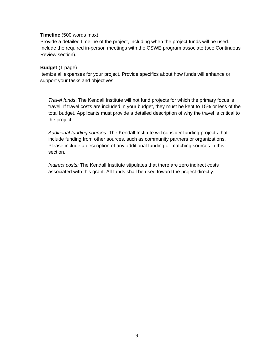#### **Timeline** (500 words max)

Provide a detailed timeline of the project, including when the project funds will be used. Include the required in-person meetings with the CSWE program associate (see Continuous Review section).

#### **Budget** (1 page)

Itemize all expenses for your project. Provide specifics about how funds will enhance or support your tasks and objectives.

*Travel funds*: The Kendall Institute will not fund projects for which the primary focus is travel. If travel costs are included in your budget, they must be kept to 15% or less of the total budget. Applicants must provide a detailed description of why the travel is critical to the project.

*Additional funding sources:* The Kendall Institute will consider funding projects that include funding from other sources, such as community partners or organizations. Please include a description of any additional funding or matching sources in this section.

*Indirect costs:* The Kendall Institute stipulates that there are zero indirect costs associated with this grant. All funds shall be used toward the project directly.